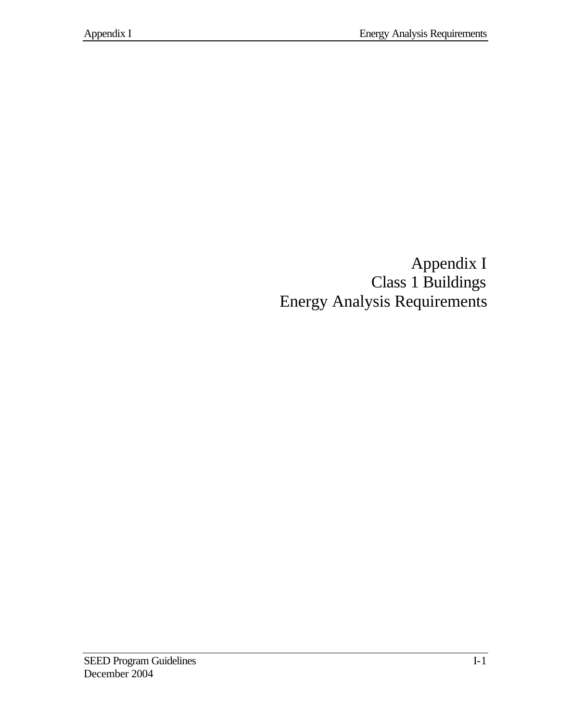Appendix I Class 1 Buildings Energy Analysis Requirements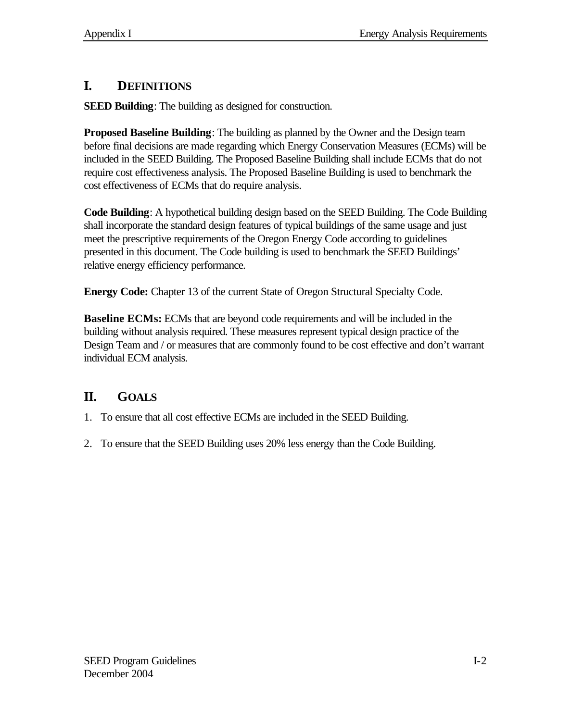# **I. DEFINITIONS**

**SEED Building**: The building as designed for construction.

**Proposed Baseline Building**: The building as planned by the Owner and the Design team before final decisions are made regarding which Energy Conservation Measures (ECMs) will be included in the SEED Building. The Proposed Baseline Building shall include ECMs that do not require cost effectiveness analysis. The Proposed Baseline Building is used to benchmark the cost effectiveness of ECMs that do require analysis.

**Code Building**: A hypothetical building design based on the SEED Building. The Code Building shall incorporate the standard design features of typical buildings of the same usage and just meet the prescriptive requirements of the Oregon Energy Code according to guidelines presented in this document. The Code building is used to benchmark the SEED Buildings' relative energy efficiency performance.

**Energy Code:** Chapter 13 of the current State of Oregon Structural Specialty Code.

**Baseline ECMs:** ECMs that are beyond code requirements and will be included in the building without analysis required. These measures represent typical design practice of the Design Team and / or measures that are commonly found to be cost effective and don't warrant individual ECM analysis.

# **II. GOALS**

- 1. To ensure that all cost effective ECMs are included in the SEED Building.
- 2. To ensure that the SEED Building uses 20% less energy than the Code Building.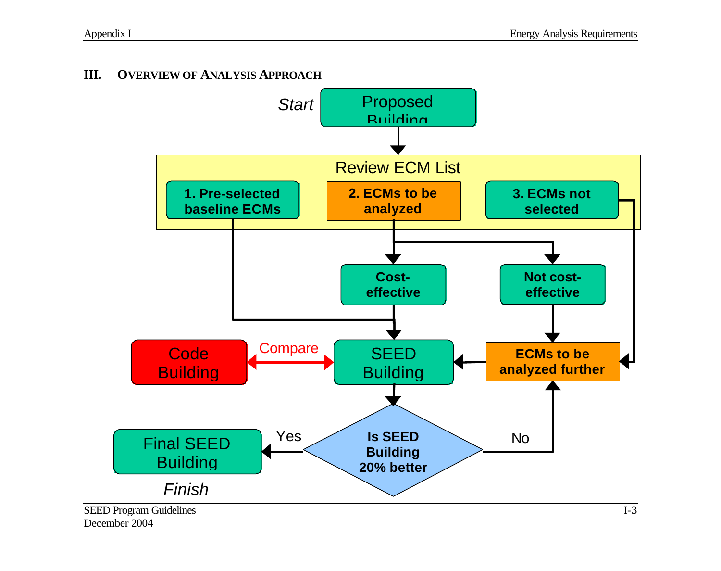### **III. OVERVIEW OF ANALYSIS APPROACH**



December 2004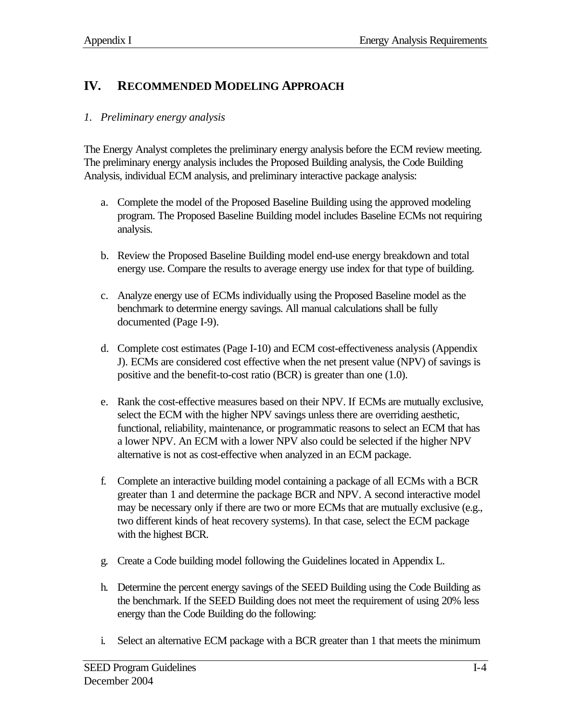## **IV. RECOMMENDED MODELING APPROACH**

#### *1. Preliminary energy analysis*

The Energy Analyst completes the preliminary energy analysis before the ECM review meeting. The preliminary energy analysis includes the Proposed Building analysis, the Code Building Analysis, individual ECM analysis, and preliminary interactive package analysis:

- a. Complete the model of the Proposed Baseline Building using the approved modeling program. The Proposed Baseline Building model includes Baseline ECMs not requiring analysis.
- b. Review the Proposed Baseline Building model end-use energy breakdown and total energy use. Compare the results to average energy use index for that type of building.
- c. Analyze energy use of ECMs individually using the Proposed Baseline model as the benchmark to determine energy savings. All manual calculations shall be fully documented (Page I-9).
- d. Complete cost estimates (Page I-10) and ECM cost-effectiveness analysis (Appendix J). ECMs are considered cost effective when the net present value (NPV) of savings is positive and the benefit-to-cost ratio (BCR) is greater than one (1.0).
- e. Rank the cost-effective measures based on their NPV. If ECMs are mutually exclusive, select the ECM with the higher NPV savings unless there are overriding aesthetic, functional, reliability, maintenance, or programmatic reasons to select an ECM that has a lower NPV. An ECM with a lower NPV also could be selected if the higher NPV alternative is not as cost-effective when analyzed in an ECM package.
- f. Complete an interactive building model containing a package of all ECMs with a BCR greater than 1 and determine the package BCR and NPV. A second interactive model may be necessary only if there are two or more ECMs that are mutually exclusive (e.g., two different kinds of heat recovery systems). In that case, select the ECM package with the highest BCR.
- g. Create a Code building model following the Guidelines located in Appendix L.
- h. Determine the percent energy savings of the SEED Building using the Code Building as the benchmark. If the SEED Building does not meet the requirement of using 20% less energy than the Code Building do the following:
- i. Select an alternative ECM package with a BCR greater than 1 that meets the minimum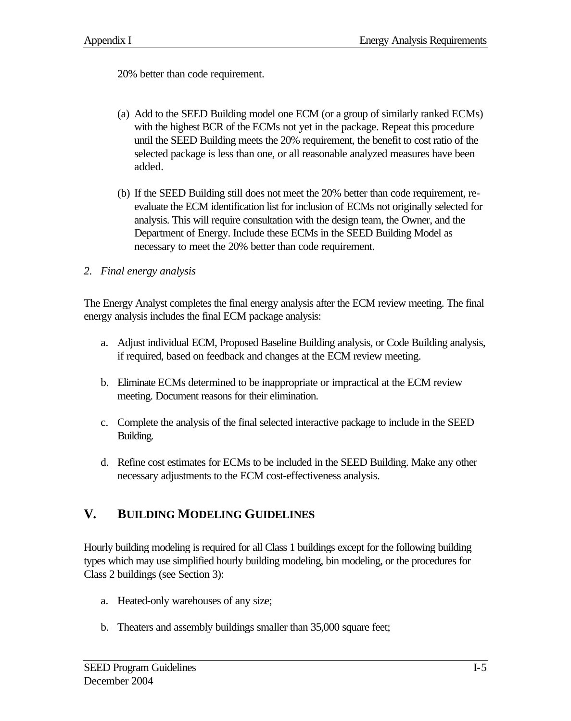20% better than code requirement.

- (a) Add to the SEED Building model one ECM (or a group of similarly ranked ECMs) with the highest BCR of the ECMs not yet in the package. Repeat this procedure until the SEED Building meets the 20% requirement, the benefit to cost ratio of the selected package is less than one, or all reasonable analyzed measures have been added.
- (b) If the SEED Building still does not meet the 20% better than code requirement, reevaluate the ECM identification list for inclusion of ECMs not originally selected for analysis. This will require consultation with the design team, the Owner, and the Department of Energy. Include these ECMs in the SEED Building Model as necessary to meet the 20% better than code requirement.
- *2. Final energy analysis*

The Energy Analyst completes the final energy analysis after the ECM review meeting. The final energy analysis includes the final ECM package analysis:

- a. Adjust individual ECM, Proposed Baseline Building analysis, or Code Building analysis, if required, based on feedback and changes at the ECM review meeting.
- b. Eliminate ECMs determined to be inappropriate or impractical at the ECM review meeting. Document reasons for their elimination.
- c. Complete the analysis of the final selected interactive package to include in the SEED Building.
- d. Refine cost estimates for ECMs to be included in the SEED Building. Make any other necessary adjustments to the ECM cost-effectiveness analysis.

### **V. BUILDING MODELING GUIDELINES**

Hourly building modeling is required for all Class 1 buildings except for the following building types which may use simplified hourly building modeling, bin modeling, or the procedures for Class 2 buildings (see Section 3):

- a. Heated-only warehouses of any size;
- b. Theaters and assembly buildings smaller than 35,000 square feet;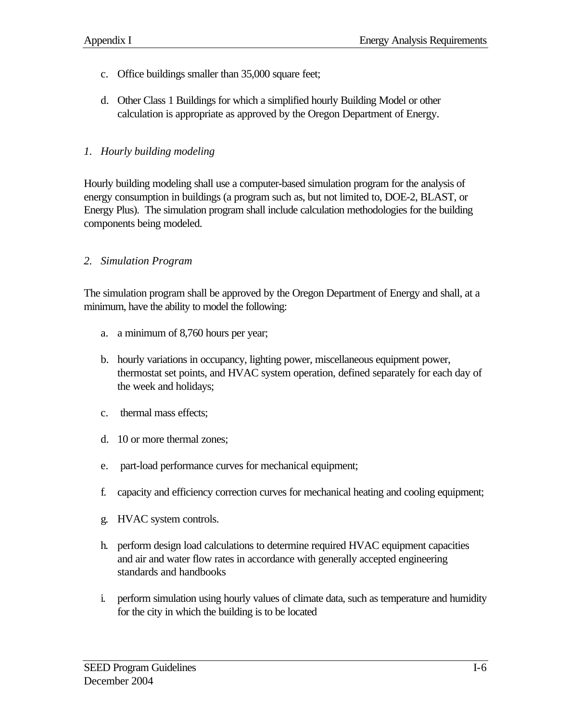- c. Office buildings smaller than 35,000 square feet;
- d. Other Class 1 Buildings for which a simplified hourly Building Model or other calculation is appropriate as approved by the Oregon Department of Energy.

#### *1. Hourly building modeling*

Hourly building modeling shall use a computer-based simulation program for the analysis of energy consumption in buildings (a program such as, but not limited to, DOE-2, BLAST, or Energy Plus). The simulation program shall include calculation methodologies for the building components being modeled.

#### *2. Simulation Program*

The simulation program shall be approved by the Oregon Department of Energy and shall, at a minimum, have the ability to model the following:

- a. a minimum of 8,760 hours per year;
- b. hourly variations in occupancy, lighting power, miscellaneous equipment power, thermostat set points, and HVAC system operation, defined separately for each day of the week and holidays;
- c. thermal mass effects;
- d. 10 or more thermal zones;
- e. part-load performance curves for mechanical equipment;
- f. capacity and efficiency correction curves for mechanical heating and cooling equipment;
- g. HVAC system controls.
- h. perform design load calculations to determine required HVAC equipment capacities and air and water flow rates in accordance with generally accepted engineering standards and handbooks
- i. perform simulation using hourly values of climate data, such as temperature and humidity for the city in which the building is to be located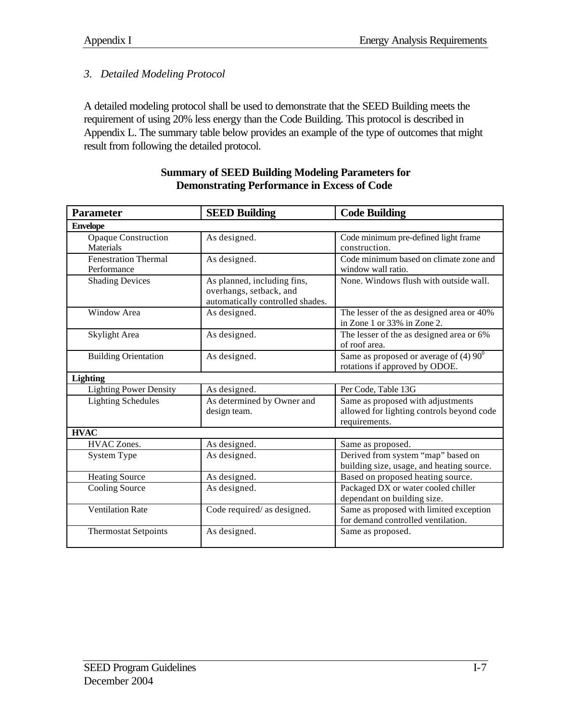#### *3. Detailed Modeling Protocol*

A detailed modeling protocol shall be used to demonstrate that the SEED Building meets the requirement of using 20% less energy than the Code Building. This protocol is described in Appendix L. The summary table below provides an example of the type of outcomes that might result from following the detailed protocol.

| <b>Parameter</b>              | <b>SEED Building</b>             | <b>Code Building</b>                            |
|-------------------------------|----------------------------------|-------------------------------------------------|
| <b>Envelope</b>               |                                  |                                                 |
| <b>Opaque Construction</b>    | As designed.                     | Code minimum pre-defined light frame            |
| Materials                     |                                  | construction.                                   |
| <b>Fenestration Thermal</b>   | As designed.                     | Code minimum based on climate zone and          |
| Performance                   |                                  | window wall ratio.                              |
| <b>Shading Devices</b>        | As planned, including fins,      | None. Windows flush with outside wall.          |
|                               | overhangs, setback, and          |                                                 |
|                               | automatically controlled shades. |                                                 |
| Window Area                   | As designed.                     | The lesser of the as designed area or 40%       |
|                               |                                  | in Zone 1 or 33% in Zone 2.                     |
| Skylight Area                 | As designed.                     | The lesser of the as designed area or 6%        |
|                               |                                  | of roof area.                                   |
| <b>Building Orientation</b>   | As designed.                     | Same as proposed or average of (4) $90^{\circ}$ |
|                               |                                  | rotations if approved by ODOE.                  |
| <b>Lighting</b>               |                                  |                                                 |
| <b>Lighting Power Density</b> | As designed.                     | Per Code, Table 13G                             |
| <b>Lighting Schedules</b>     | As determined by Owner and       | Same as proposed with adjustments               |
|                               | design team.                     | allowed for lighting controls beyond code       |
|                               |                                  | requirements.                                   |
| <b>HVAC</b>                   |                                  |                                                 |
| <b>HVAC</b> Zones.            | As designed.                     | Same as proposed.                               |
| System Type                   | As designed.                     | Derived from system "map" based on              |
|                               |                                  | building size, usage, and heating source.       |
| <b>Heating Source</b>         | As designed.                     | Based on proposed heating source.               |
| Cooling Source                | As designed.                     | Packaged DX or water cooled chiller             |
|                               |                                  | dependant on building size.                     |
| <b>Ventilation Rate</b>       | Code required/ as designed.      | Same as proposed with limited exception         |
|                               |                                  | for demand controlled ventilation.              |
| <b>Thermostat Setpoints</b>   | As designed.                     | Same as proposed.                               |
|                               |                                  |                                                 |

#### **Summary of SEED Building Modeling Parameters for Demonstrating Performance in Excess of Code**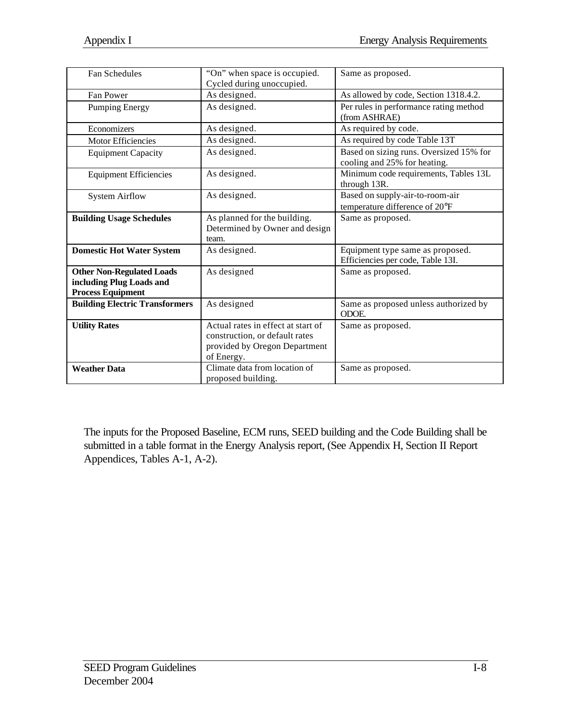| <b>Fan Schedules</b>                                                                     | "On" when space is occupied.<br>Cycled during unoccupied.                                                           | Same as proposed.                                                       |
|------------------------------------------------------------------------------------------|---------------------------------------------------------------------------------------------------------------------|-------------------------------------------------------------------------|
| Fan Power                                                                                | As designed.                                                                                                        | As allowed by code, Section 1318.4.2.                                   |
| <b>Pumping Energy</b>                                                                    | As designed.                                                                                                        | Per rules in performance rating method<br>(from ASHRAE)                 |
| Economizers                                                                              | As designed.                                                                                                        | As required by code.                                                    |
| <b>Motor Efficiencies</b>                                                                | As designed.                                                                                                        | As required by code Table 13T                                           |
| <b>Equipment Capacity</b>                                                                | As designed.                                                                                                        | Based on sizing runs. Oversized 15% for<br>cooling and 25% for heating. |
| <b>Equipment Efficiencies</b>                                                            | As designed.                                                                                                        | Minimum code requirements, Tables 13L<br>through 13R.                   |
| <b>System Airflow</b>                                                                    | As designed.                                                                                                        | Based on supply-air-to-room-air<br>temperature difference of 20°F       |
| <b>Building Usage Schedules</b>                                                          | As planned for the building.<br>Determined by Owner and design<br>team.                                             | Same as proposed.                                                       |
| <b>Domestic Hot Water System</b>                                                         | As designed.                                                                                                        | Equipment type same as proposed.<br>Efficiencies per code, Table 13I.   |
| <b>Other Non-Regulated Loads</b><br>including Plug Loads and<br><b>Process Equipment</b> | As designed                                                                                                         | Same as proposed.                                                       |
| <b>Building Electric Transformers</b>                                                    | As designed                                                                                                         | Same as proposed unless authorized by<br>ODOE.                          |
| <b>Utility Rates</b>                                                                     | Actual rates in effect at start of<br>construction, or default rates<br>provided by Oregon Department<br>of Energy. | Same as proposed.                                                       |
| <b>Weather Data</b>                                                                      | Climate data from location of<br>proposed building.                                                                 | Same as proposed.                                                       |

The inputs for the Proposed Baseline, ECM runs, SEED building and the Code Building shall be submitted in a table format in the Energy Analysis report, (See Appendix H, Section II Report Appendices, Tables A-1, A-2).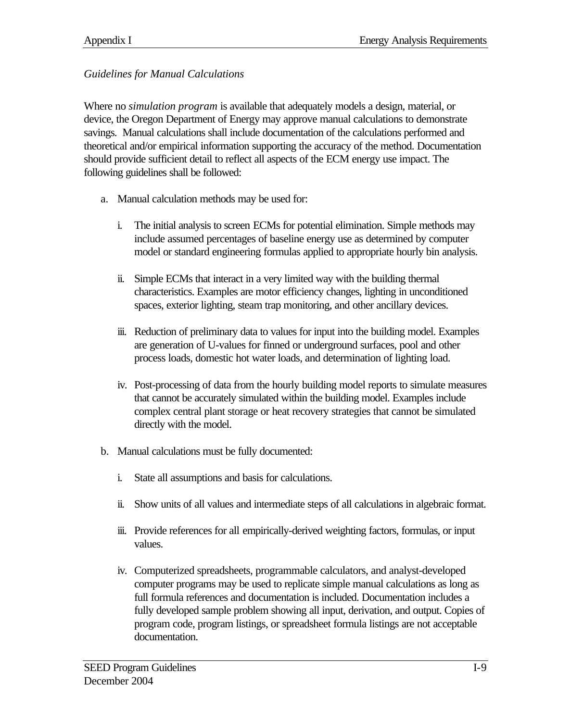#### *Guidelines for Manual Calculations*

Where no *simulation program* is available that adequately models a design, material, or device, the Oregon Department of Energy may approve manual calculations to demonstrate savings. Manual calculations shall include documentation of the calculations performed and theoretical and/or empirical information supporting the accuracy of the method. Documentation should provide sufficient detail to reflect all aspects of the ECM energy use impact. The following guidelines shall be followed:

- a. Manual calculation methods may be used for:
	- i. The initial analysis to screen ECMs for potential elimination. Simple methods may include assumed percentages of baseline energy use as determined by computer model or standard engineering formulas applied to appropriate hourly bin analysis.
	- ii. Simple ECMs that interact in a very limited way with the building thermal characteristics. Examples are motor efficiency changes, lighting in unconditioned spaces, exterior lighting, steam trap monitoring, and other ancillary devices.
	- iii. Reduction of preliminary data to values for input into the building model. Examples are generation of U-values for finned or underground surfaces, pool and other process loads, domestic hot water loads, and determination of lighting load.
	- iv. Post-processing of data from the hourly building model reports to simulate measures that cannot be accurately simulated within the building model. Examples include complex central plant storage or heat recovery strategies that cannot be simulated directly with the model.
- b. Manual calculations must be fully documented:
	- i. State all assumptions and basis for calculations.
	- ii. Show units of all values and intermediate steps of all calculations in algebraic format.
	- iii. Provide references for all empirically-derived weighting factors, formulas, or input values.
	- iv. Computerized spreadsheets, programmable calculators, and analyst-developed computer programs may be used to replicate simple manual calculations as long as full formula references and documentation is included. Documentation includes a fully developed sample problem showing all input, derivation, and output. Copies of program code, program listings, or spreadsheet formula listings are not acceptable documentation.